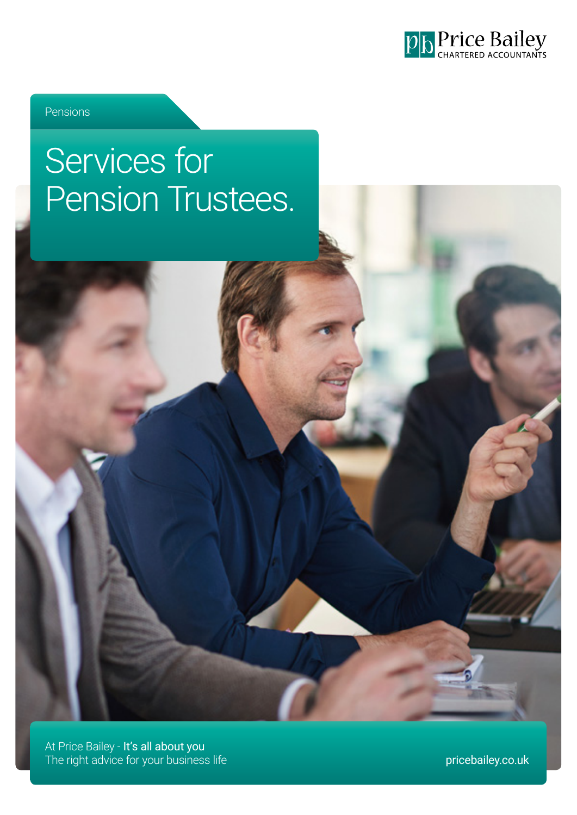

Pensions

# Services for Pension Trustees.

At Price Bailey - It's all about you The right advice for your business life price bailey.co.uk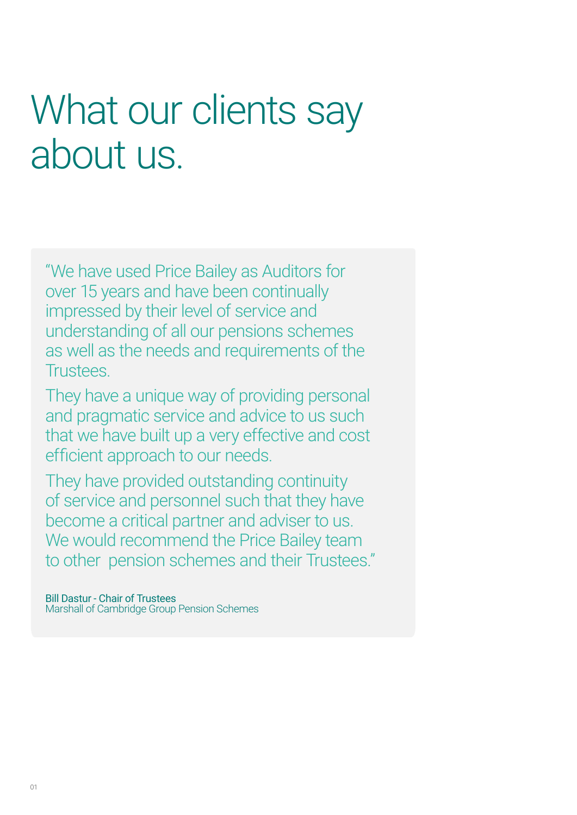# What our clients say about us.

"We have used Price Bailey as Auditors for over 15 years and have been continually impressed by their level of service and understanding of all our pensions schemes as well as the needs and requirements of the Trustees.

They have a unique way of providing personal and pragmatic service and advice to us such that we have built up a very effective and cost efficient approach to our needs.

They have provided outstanding continuity of service and personnel such that they have become a critical partner and adviser to us. We would recommend the Price Bailey team to other pension schemes and their Trustees."

Bill Dastur - Chair of Trustees Marshall of Cambridge Group Pension Schemes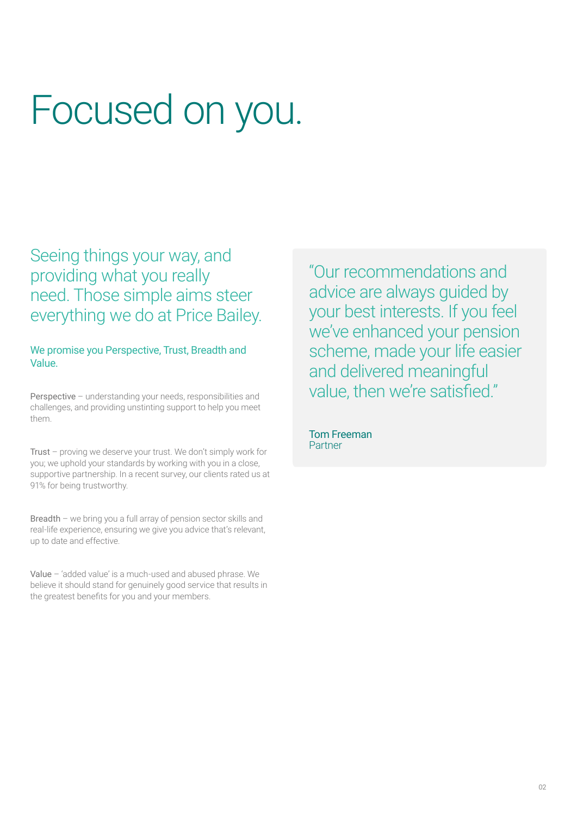# Focused on you.

Seeing things your way, and providing what you really need. Those simple aims steer everything we do at Price Bailey.

We promise you Perspective, Trust, Breadth and Value.

Perspective - understanding your needs, responsibilities and challenges, and providing unstinting support to help you meet them.

Trust – proving we deserve your trust. We don't simply work for you; we uphold your standards by working with you in a close, supportive partnership. In a recent survey, our clients rated us at 91% for being trustworthy.

Breadth – we bring you a full array of pension sector skills and real-life experience, ensuring we give you advice that's relevant, up to date and effective.

Value – 'added value' is a much-used and abused phrase. We believe it should stand for genuinely good service that results in the greatest benefits for you and your members.

"Our recommendations and advice are always guided by your best interests. If you feel we've enhanced your pension scheme, made your life easier and delivered meaningful value, then we're satisfied."

Tom Freeman Partner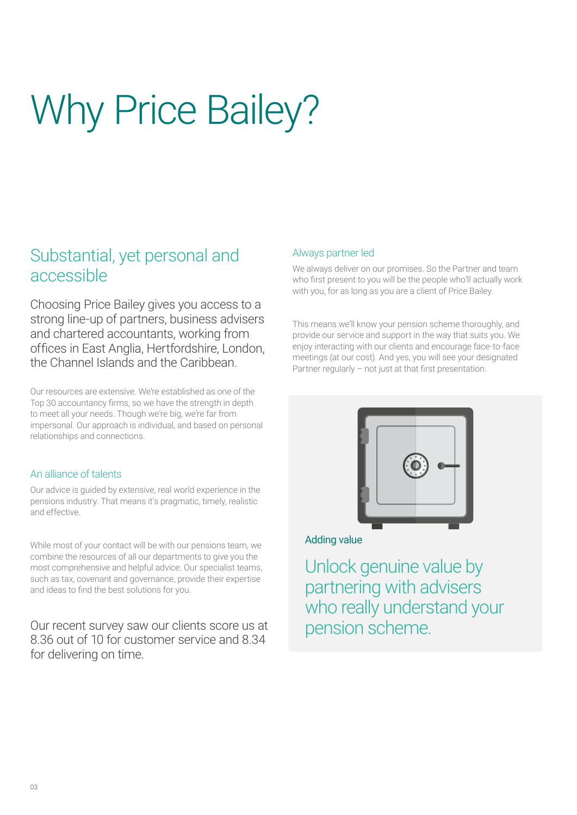# Why Price Bailey?

# Substantial, yet personal and accessible

Choosing Price Bailey gives you access to a strong line-up of partners, business advisers and chartered accountants, working from offices in East Anglia, Hertfordshire, London, the Channel Islands and the Caribbean.

Our resources are extensive. We're established as one of the Top 30 accountancy firms, so we have the strength in depth to meet all your needs. Though we're big, we're far from impersonal. Our approach is individual, and based on personal relationships and connections.

### An alliance of talents

Our advice is guided by extensive, real world experience in the pensions industry. That means it's pragmatic, timely, realistic and effective.

While most of your contact will be with our pensions team, we combine the resources of all our departments to give you the most comprehensive and helpful advice. Our specialist teams, such as tax, covenant and governance, provide their expertise and ideas to find the best solutions for you.

Our recent survey saw our clients score us at 8.36 out of 10 for customer service and 8.34 for delivering on time.

### Always partner led

We always deliver on our promises. So the Partner and team who first present to you will be the people who'll actually work with you, for as long as you are a client of Price Bailey.

This means we'll know your pension scheme thoroughly, and provide our service and support in the way that suits you. We enjoy interacting with our clients and encourage face-to-face meetings (at our cost). And yes, you will see your designated Partner regularly – not just at that first presentation.



### Adding value

Unlock genuine value by partnering with advisers who really understand your pension scheme.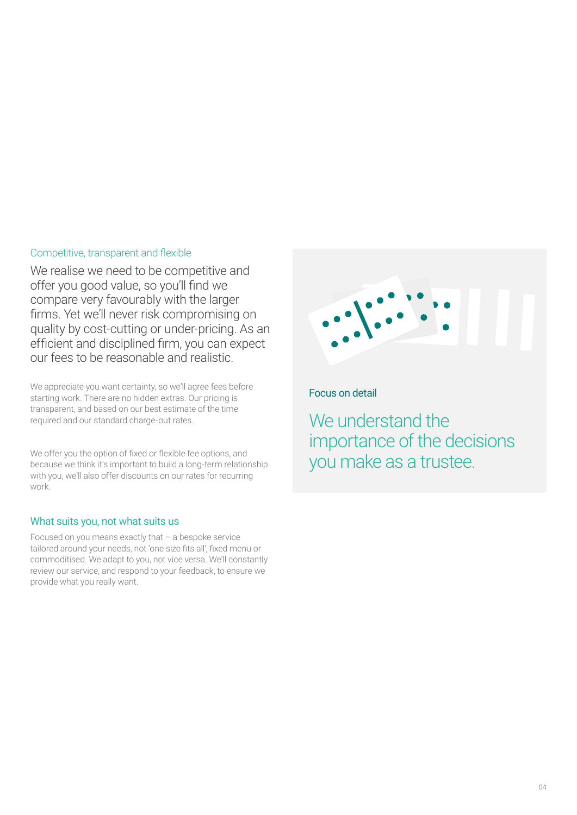#### Competitive, transparent and flexible

We realise we need to be competitive and offer you good value, so you'll find we compare very favourably with the larger firms. Yet we'll never risk compromising on quality by cost-cutting or under-pricing. As an efficient and disciplined firm, you can expect our fees to be reasonable and realistic.

We appreciate you want certainty, so we'll agree fees before starting work. There are no hidden extras. Our pricing is transparent, and based on our best estimate of the time required and our standard charge-out rates.

We offer you the option of fixed or flexible fee options, and because we think it's important to build a long-term relationship with you, we'll also offer discounts on our rates for recurring work.

### What suits you, not what suits us

Focused on you means exactly that – a bespoke service tailored around your needs, not 'one size fits all', fixed menu or commoditised. We adapt to you, not vice versa. We'll constantly review our service, and respond to your feedback, to ensure we provide what you really want.



### Focus on detail

We understand the importance of the decisions you make as a trustee.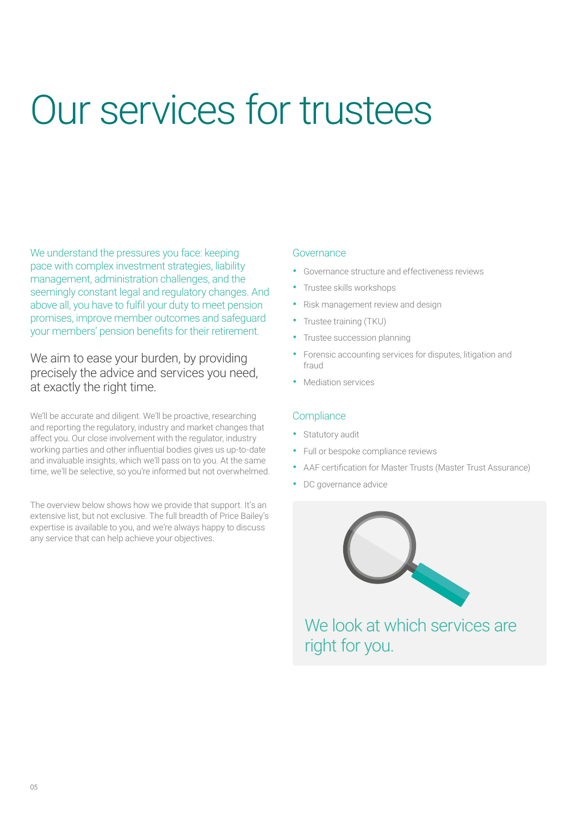# Our services for trustees

We understand the pressures you face: keeping pace with complex investment strategies, liability management, administration challenges, and the seemingly constant legal and regulatory changes. And above all, you have to fulfil your duty to meet pension promises, improve member outcomes and safeguard your members' pension benefits for their retirement.

We aim to ease your burden, by providing precisely the advice and services you need, at exactly the right time.

We'll be accurate and diligent. We'll be proactive, researching and reporting the regulatory, industry and market changes that affect you. Our close involvement with the regulator, industry working parties and other influential bodies gives us up-to-date and invaluable insights, which we'll pass on to you. At the same time, we'll be selective, so you're informed but not overwhelmed.

The overview below shows how we provide that support. It's an extensive list, but not exclusive. The full breadth of Price Bailey's expertise is available to you, and we're always happy to discuss any service that can help achieve your objectives.

#### Governance

- Governance structure and effectiveness reviews
- Trustee skills workshops
- Risk management review and design
- Trustee training (TKU)
- Trustee succession planning
- Forensic accounting services for disputes, litigation and fraud
- Mediation services

#### **Compliance**

- Statutory audit
- Full or bespoke compliance reviews
- AAF certification for Master Trusts (Master Trust Assurance)
- DC governance advice



We look at which services are right for you.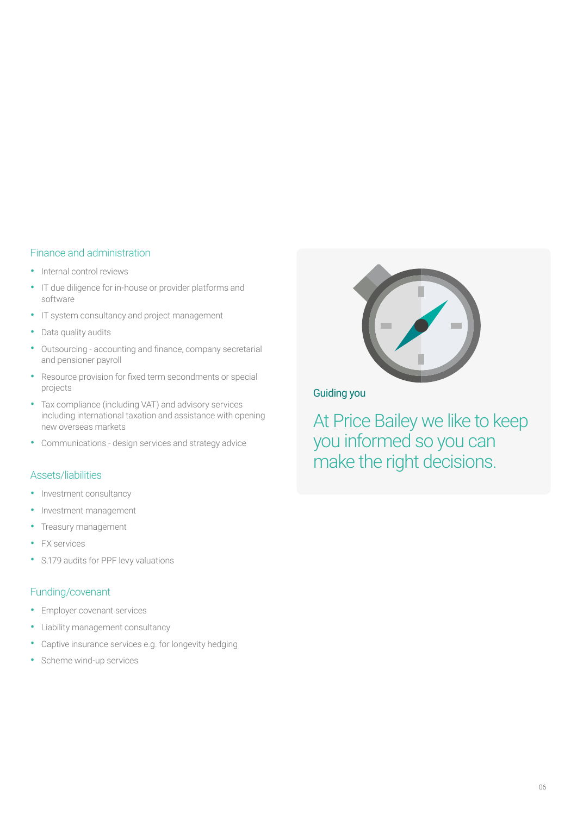#### Finance and administration

- Internal control reviews
- IT due diligence for in-house or provider platforms and software
- IT system consultancy and project management
- Data quality audits
- Outsourcing accounting and finance, company secretarial and pensioner payroll
- Resource provision for fixed term secondments or special projects
- Tax compliance (including VAT) and advisory services including international taxation and assistance with opening new overseas markets
- Communications design services and strategy advice

#### Assets/liabilities

- Investment consultancy
- Investment management
- Treasury management
- **FX** services
- S.179 audits for PPF levy valuations

#### Funding/covenant

- Employer covenant services
- Liability management consultancy
- Captive insurance services e.g. for longevity hedging
- Scheme wind-up services



Guiding you

At Price Bailey we like to keep you informed so you can make the right decisions.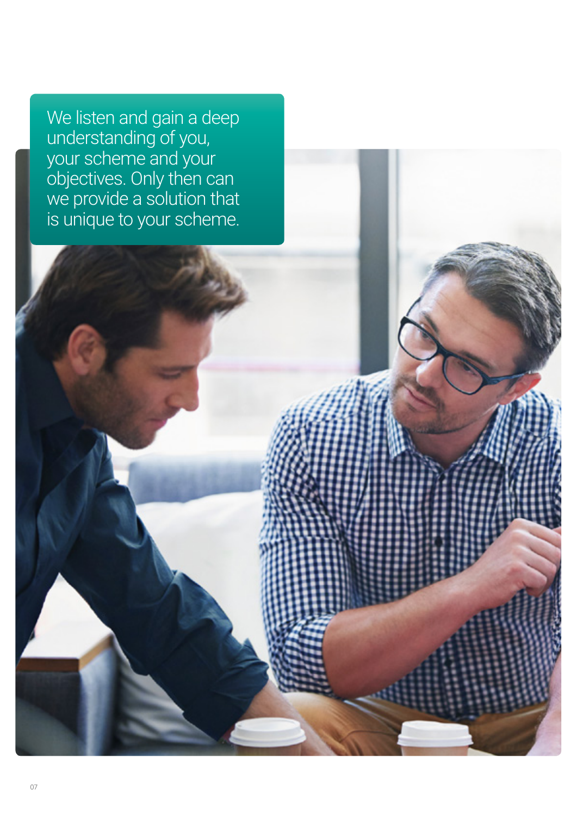We listen and gain a deep understanding of you, your scheme and your objectives. Only then can we provide a solution that is unique to your scheme.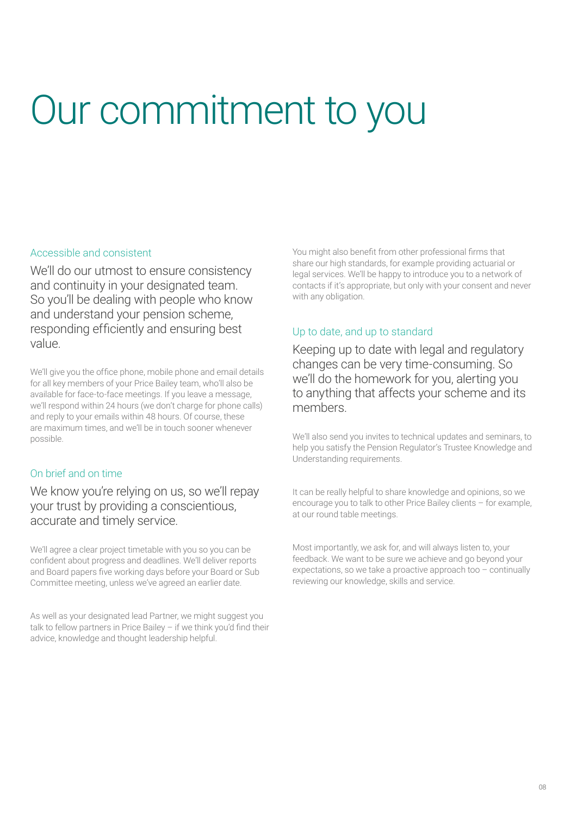# Our commitment to you

### Accessible and consistent

We'll do our utmost to ensure consistency and continuity in your designated team. So you'll be dealing with people who know and understand your pension scheme, responding efficiently and ensuring best value.

We'll give you the office phone, mobile phone and email details for all key members of your Price Bailey team, who'll also be available for face-to-face meetings. If you leave a message, we'll respond within 24 hours (we don't charge for phone calls) and reply to your emails within 48 hours. Of course, these are maximum times, and we'll be in touch sooner whenever possible.

## On brief and on time

We know you're relying on us, so we'll repay your trust by providing a conscientious, accurate and timely service.

We'll agree a clear project timetable with you so you can be confident about progress and deadlines. We'll deliver reports and Board papers five working days before your Board or Sub Committee meeting, unless we've agreed an earlier date.

As well as your designated lead Partner, we might suggest you talk to fellow partners in Price Bailey – if we think you'd find their advice, knowledge and thought leadership helpful.

You might also benefit from other professional firms that share our high standards, for example providing actuarial or legal services. We'll be happy to introduce you to a network of contacts if it's appropriate, but only with your consent and never with any obligation.

## Up to date, and up to standard

Keeping up to date with legal and regulatory changes can be very time-consuming. So we'll do the homework for you, alerting you to anything that affects your scheme and its members.

We'll also send you invites to technical updates and seminars, to help you satisfy the Pension Regulator's Trustee Knowledge and Understanding requirements.

It can be really helpful to share knowledge and opinions, so we encourage you to talk to other Price Bailey clients – for example, at our round table meetings.

Most importantly, we ask for, and will always listen to, your feedback. We want to be sure we achieve and go beyond your expectations, so we take a proactive approach too – continually reviewing our knowledge, skills and service.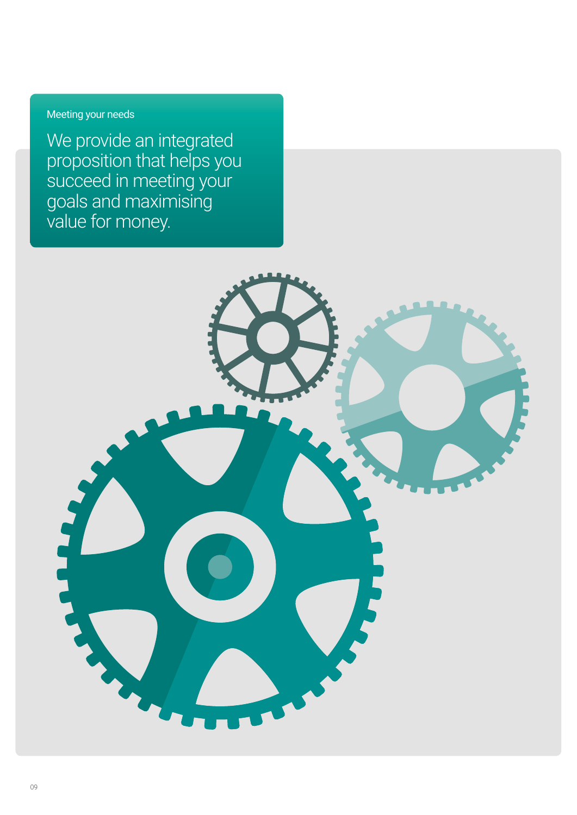# Meeting your needs

We provide an integrated proposition that helps you succeed in meeting your goals and maximising value for money.

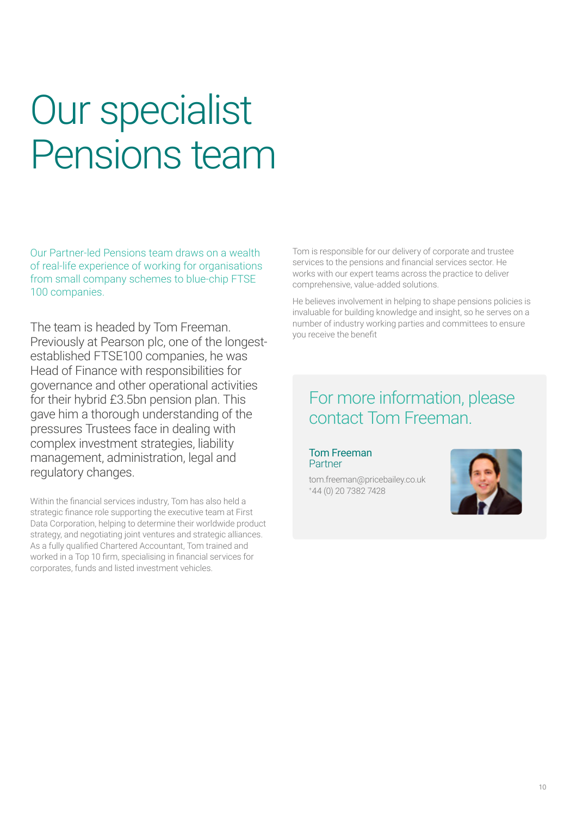# Our specialist Pensions team

Our Partner-led Pensions team draws on a wealth of real-life experience of working for organisations from small company schemes to blue-chip FTSE 100 companies.

The team is headed by Tom Freeman. Previously at Pearson plc, one of the longestestablished FTSE100 companies, he was Head of Finance with responsibilities for governance and other operational activities for their hybrid £3.5bn pension plan. This gave him a thorough understanding of the pressures Trustees face in dealing with complex investment strategies, liability management, administration, legal and regulatory changes.

Within the financial services industry, Tom has also held a strategic finance role supporting the executive team at First Data Corporation, helping to determine their worldwide product strategy, and negotiating joint ventures and strategic alliances. As a fully qualified Chartered Accountant, Tom trained and worked in a Top 10 firm, specialising in financial services for corporates, funds and listed investment vehicles.

Tom is responsible for our delivery of corporate and trustee services to the pensions and financial services sector. He works with our expert teams across the practice to deliver comprehensive, value-added solutions.

He believes involvement in helping to shape pensions policies is invaluable for building knowledge and insight, so he serves on a number of industry working parties and committees to ensure you receive the benefit

# For more information, please contact Tom Freeman.

Tom Freeman Partner

tom.freeman@pricebailey.co.uk +44 (0) 20 7382 7428